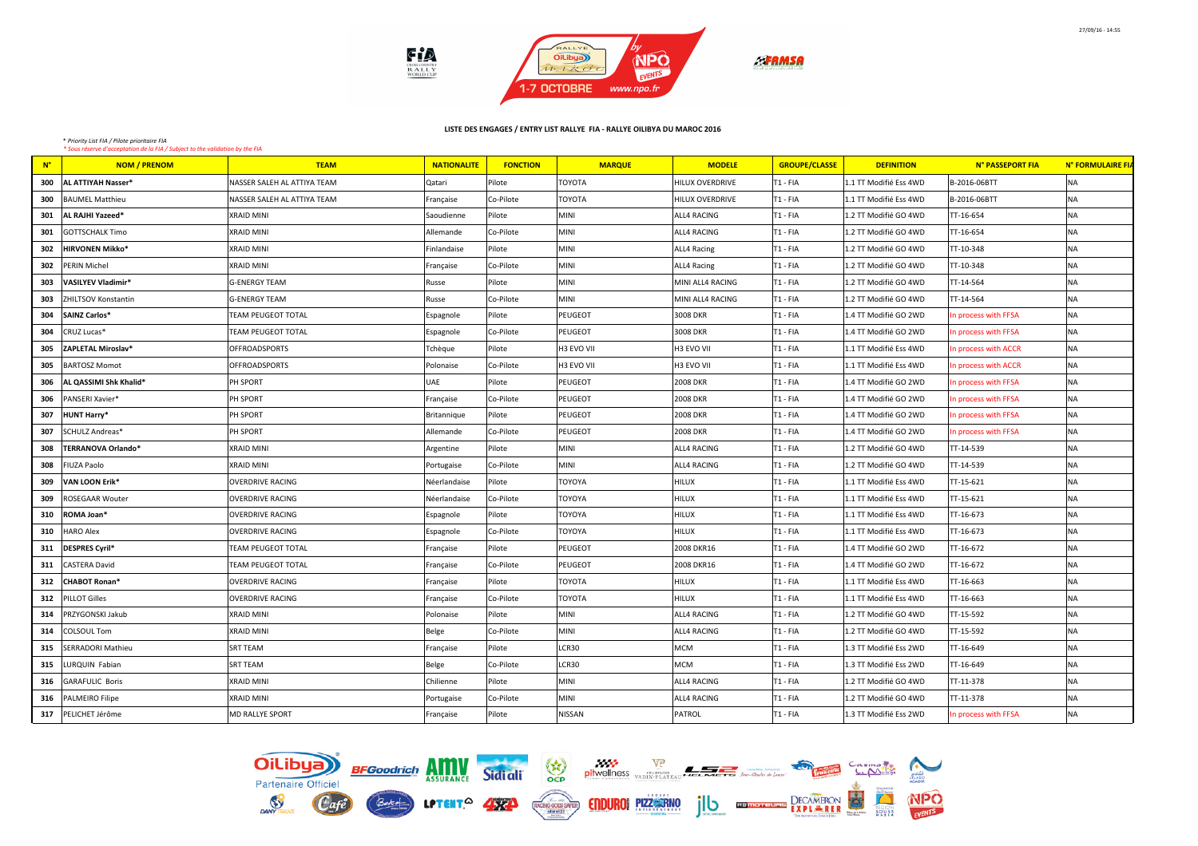

| $N^{\circ}$ | <b>NOM / PRENOM</b>        | <b>TEAM</b>                 | <b>NATIONALITE</b> | <b>FONCTION</b> | <b>MARQUE</b>  | <b>MODELE</b>          | <b>GROUPE/CLASSE</b> | <b>DEFINITION</b>      | N° PASSEPORT FIA     | N° FORMULAIRE FIA |
|-------------|----------------------------|-----------------------------|--------------------|-----------------|----------------|------------------------|----------------------|------------------------|----------------------|-------------------|
| 300         | AL ATTIYAH Nasser*         | NASSER SALEH AL ATTIYA TEAM | Qatari             | Pilote          | <b>TOYOTA</b>  | HILUX OVERDRIVE        | T1 - FIA             | 1.1 TT Modifié Ess 4WD | B-2016-06BTT         | NA.               |
| 300         | <b>BAUMEL Matthieu</b>     | NASSER SALEH AL ATTIYA TEAM | Française          | Co-Pilote       | <b>TOYOTA</b>  | <b>HILUX OVERDRIVE</b> | T1 - FIA             | 1.1 TT Modifié Ess 4WD | B-2016-06BTT         | NA.               |
| 301         | AL RAJHI Yazeed*           | <b>XRAID MINI</b>           | Saoudienne         | Pilote          | <b>MINI</b>    | ALL4 RACING            | T1 - FIA             | 1.2 TT Modifié GO 4WD  | TT-16-654            | NA                |
| 301         | <b>GOTTSCHALK Timo</b>     | <b>XRAID MINI</b>           | Allemande          | Co-Pilote       | MINI           | ALL4 RACING            | T <sub>1</sub> - FIA | 1.2 TT Modifié GO 4WD  | TT-16-654            | NA                |
| 302         | HIRVONEN Mikko*            | <b>XRAID MINI</b>           | Finlandaise        | Pilote          | MINI           | <b>ALL4 Racing</b>     | T1 - FIA             | 1.2 TT Modifié GO 4WD  | TT-10-348            | NA                |
| 302         | <b>PERIN Michel</b>        | <b>XRAID MINI</b>           | Française          | Co-Pilote       | MINI           | <b>ALL4 Racing</b>     | T <sub>1</sub> - FIA | 1.2 TT Modifié GO 4WD  | TT-10-348            | NA                |
| 303         | VASILYEV Vladimir*         | <b>G-ENERGY TEAM</b>        | Russe              | Pilote          | MINI           | MINI ALL4 RACING       | T1 - FIA             | 1.2 TT Modifié GO 4WD  | TT-14-564            | NA                |
| 303         | <b>ZHILTSOV Konstantin</b> | <b>G-ENERGY TEAM</b>        | Russe              | Co-Pilote       | MINI           | MINI ALL4 RACING       | T1 - FIA             | 1.2 TT Modifié GO 4WD  | TT-14-564            | NA                |
| 304         | SAINZ Carlos*              | <b>TEAM PEUGEOT TOTAL</b>   | Espagnole          | Pilote          | PEUGEOT        | 3008 DKR               | T <sub>1</sub> - FIA | 1.4 TT Modifié GO 2WD  | In process with FFSA | NA.               |
| 304         | CRUZ Lucas*                | <b>TEAM PEUGEOT TOTAL</b>   | Espagnole          | Co-Pilote       | PEUGEOT        | 3008 DKR               | T1 - FIA             | 1.4 TT Modifié GO 2WD  | In process with FFSA | NA                |
| 305         | ZAPLETAL Miroslav*         | <b>OFFROADSPORTS</b>        | Tchèque            | Pilote          | H3 EVO VII     | H3 EVO VII             | T1 - FIA             | 1.1 TT Modifié Ess 4WD | In process with ACCR | NA                |
| 305         | <b>BARTOSZ Momot</b>       | <b>OFFROADSPORTS</b>        | Polonaise          | Co-Pilote       | H3 EVO VII     | H3 EVO VII             | T1 - FIA             | 1.1 TT Modifié Ess 4WD | In process with ACCR | NA                |
| 306         | AL QASSIMI Shk Khalid*     | PH SPORT                    | UAE                | Pilote          | PEUGEOT        | <b>2008 DKR</b>        | T1 - FIA             | 1.4 TT Modifié GO 2WD  | In process with FFSA | <b>NA</b>         |
| 306         | PANSERI Xavier*            | PH SPORT                    | Française          | Co-Pilote       | <b>PEUGEOT</b> | <b>2008 DKR</b>        | T1 - FIA             | 1.4 TT Modifié GO 2WD  | In process with FFSA | <b>NA</b>         |
| 307         | HUNT Harry*                | PH SPORT                    | Britannique        | Pilote          | <b>PEUGEOT</b> | <b>2008 DKR</b>        | T1 - FIA             | 1.4 TT Modifié GO 2WD  | In process with FFSA | NA                |
| 307         | SCHULZ Andreas*            | PH SPORT                    | Allemande          | Co-Pilote       | PEUGEOT        | <b>2008 DKR</b>        | T1 - FIA             | 1.4 TT Modifié GO 2WD  | In process with FFSA | NA.               |
| 308         | TERRANOVA Orlando*         | XRAID MINI                  | Argentine          | Pilote          | MINI           | ALL4 RACING            | T1 - FIA             | 1.2 TT Modifié GO 4WD  | TT-14-539            | NA                |
| 308         | FIUZA Paolo                | <b>XRAID MINI</b>           | Portugaise         | Co-Pilote       | MINI           | ALL4 RACING            | T1 - FIA             | 1.2 TT Modifié GO 4WD  | TT-14-539            | NA                |
| 309         | <b>VAN LOON Erik*</b>      | <b>OVERDRIVE RACING</b>     | Néerlandaise       | Pilote          | <b>TOYOYA</b>  | HILUX                  | T1 - FIA             | 1.1 TT Modifié Ess 4WD | TT-15-621            | <b>NA</b>         |
| 309         | <b>ROSEGAAR Wouter</b>     | <b>OVERDRIVE RACING</b>     | Néerlandaise       | Co-Pilote       | <b>TOYOYA</b>  | HILUX                  | T1 - FIA             | 1.1 TT Modifié Ess 4WD | TT-15-621            | <b>NA</b>         |
| 310         | ROMA Joan*                 | <b>OVERDRIVE RACING</b>     | Espagnole          | Pilote          | TOYOYA         | <b>HILUX</b>           | T1 - FIA             | 1.1 TT Modifié Ess 4WD | TT-16-673            | NA                |
| 310         | <b>HARO Alex</b>           | <b>OVERDRIVE RACING</b>     | Espagnole          | Co-Pilote       | TOYOYA         | HILUX                  | T1 - FIA             | 1.1 TT Modifié Ess 4WD | TT-16-673            | NA                |
| 311         | DESPRES Cyril*             | TEAM PEUGEOT TOTAL          | Française          | Pilote          | PEUGEOT        | 2008 DKR16             | T1 - FIA             | 1.4 TT Modifié GO 2WD  | TT-16-672            | NA                |
| 311         | <b>CASTERA David</b>       | <b>TEAM PEUGEOT TOTAL</b>   | Française          | Co-Pilote       | PEUGEOT        | 2008 DKR16             | T1 - FIA             | 1.4 TT Modifié GO 2WD  | TT-16-672            | NA                |
| 312         | <b>CHABOT Ronan*</b>       | <b>OVERDRIVE RACING</b>     | Française          | Pilote          | <b>TOYOTA</b>  | <b>HILUX</b>           | T1 - FIA             | 1.1 TT Modifié Ess 4WD | TT-16-663            | NA                |
| 312         | <b>PILLOT Gilles</b>       | <b>OVERDRIVE RACING</b>     | Française          | Co-Pilote       | <b>TOYOTA</b>  | <b>HILUX</b>           | T <sub>1</sub> - FIA | 1.1 TT Modifié Ess 4WD | TT-16-663            | NA                |
| 314         | PRZYGONSKI Jakub           | <b>XRAID MINI</b>           | Polonaise          | Pilote          | <b>MINI</b>    | ALL4 RACING            | T1 - FIA             | 1.2 TT Modifié GO 4WD  | TT-15-592            | <b>NA</b>         |
| 314         | <b>COLSOUL Tom</b>         | <b>XRAID MINI</b>           | Belge              | Co-Pilote       | MINI           | ALL4 RACING            | T <sub>1</sub> - FIA | 1.2 TT Modifié GO 4WD  | TT-15-592            | NA                |
| 315         | SERRADORI Mathieu          | <b>SRT TEAM</b>             | Française          | Pilote          | LCR30          | MCM                    | T1 - FIA             | 1.3 TT Modifié Ess 2WD | TT-16-649            | NA                |
| 315         | LURQUIN Fabian             | <b>SRT TEAM</b>             | Belge              | Co-Pilote       | LCR30          | <b>MCM</b>             | T1 - FIA             | 1.3 TT Modifié Ess 2WD | TT-16-649            | <b>NA</b>         |
| 316         | <b>GARAFULIC Boris</b>     | <b>XRAID MINI</b>           | Chilienne          | Pilote          | <b>MINI</b>    | ALL4 RACING            | T1 - FIA             | 1.2 TT Modifié GO 4WD  | TT-11-378            | NA.               |
| 316         | <b>PALMEIRO Filipe</b>     | <b>XRAID MINI</b>           | Portugaise         | Co-Pilote       | MINI           | ALL4 RACING            | T1 - FIA             | 1.2 TT Modifié GO 4WD  | TT-11-378            | NA                |
|             | 317 PELICHET Jérôme        | <b>MD RALLYE SPORT</b>      | Française          | Pilote          | <b>NISSAN</b>  | PATROL                 | T <sub>1</sub> - FIA | 1.3 TT Modifié Ess 2WD | In process with FFSA | NA.               |

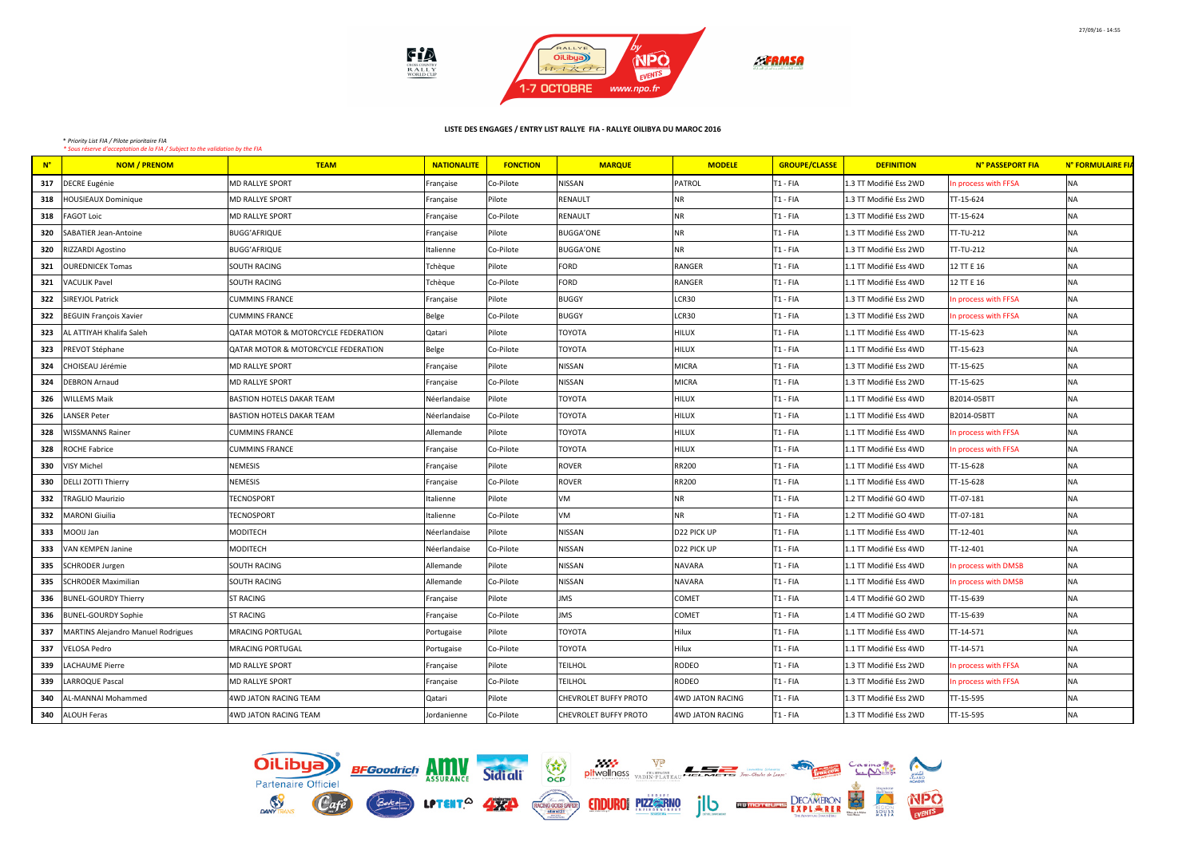

| $N^{\circ}$ | <b>NOM / PRENOM</b>                | <b>TEAM</b>                         | <b>NATIONALITE</b> | <b>FONCTION</b> | <b>MARQUE</b>         | <b>MODELE</b>    | <b>GROUPE/CLASSE</b> | <b>DEFINITION</b>      | N° PASSEPORT FIA     | N° FORMULAIRE FIA |
|-------------|------------------------------------|-------------------------------------|--------------------|-----------------|-----------------------|------------------|----------------------|------------------------|----------------------|-------------------|
| 317         | DECRE Eugénie                      | <b>MD RALLYE SPORT</b>              | Française          | Co-Pilote       | <b>NISSAN</b>         | PATROL           | T1 - FIA             | 1.3 TT Modifié Ess 2WD | n process with FFSA  | NA                |
| 318         | <b>HOUSIEAUX Dominique</b>         | <b>MD RALLYE SPORT</b>              | Française          | Pilote          | RENAULT               | <b>NR</b>        | $T1 - FIA$           | 1.3 TT Modifié Ess 2WD | TT-15-624            | <b>NA</b>         |
| 318         | <b>FAGOT Loic</b>                  | <b>MD RALLYE SPORT</b>              | Française          | Co-Pilote       | RENAULT               | NR               | $T1 - FIA$           | 1.3 TT Modifié Ess 2WD | TT-15-624            | <b>NA</b>         |
| 320         | SABATIER Jean-Antoine              | <b>BUGG'AFRIQUE</b>                 | Française          | Pilote          | <b>BUGGA'ONE</b>      | NR               | $T1 - FIA$           | 1.3 TT Modifié Ess 2WD | TT-TU-212            | NA                |
| 320         | RIZZARDI Agostino                  | <b>BUGG'AFRIQUE</b>                 | Italienne          | Co-Pilote       | <b>BUGGA'ONE</b>      | NR               | $T1 - FIA$           | 1.3 TT Modifié Ess 2WD | TT-TU-212            | <b>NA</b>         |
| 321         | <b>OUREDNICEK Tomas</b>            | <b>SOUTH RACING</b>                 | Tchèque            | Pilote          | FORD                  | RANGER           | $T1 - FIA$           | 1.1 TT Modifié Ess 4WD | 12 TT E 16           | <b>NA</b>         |
| 321         | <b>VACULIK Pavel</b>               | <b>SOUTH RACING</b>                 | Tchèque            | Co-Pilote       | <b>FORD</b>           | RANGER           | $T1 - FIA$           | 1.1 TT Modifié Ess 4WD | 12 TT E 16           | <b>NA</b>         |
| 322         | <b>SIREYJOL Patrick</b>            | <b>CUMMINS FRANCE</b>               | Française          | Pilote          | <b>BUGGY</b>          | LCR30            | $T1 - FIA$           | 1.3 TT Modifié Ess 2WD | n process with FFSA  | NA                |
| 322         | <b>BEGUIN François Xavier</b>      | <b>CUMMINS FRANCE</b>               | Belge              | Co-Pilote       | <b>BUGGY</b>          | LCR30            | T <sub>1</sub> - FIA | 1.3 TT Modifié Ess 2WD | n process with FFSA  | NA                |
| 323         | AL ATTIYAH Khalifa Saleh           | QATAR MOTOR & MOTORCYCLE FEDERATION | Qatari             | Pilote          | <b>TOYOTA</b>         | <b>HILUX</b>     | $T1 - FIA$           | 1.1 TT Modifié Ess 4WD | TT-15-623            | NA                |
| 323         | PREVOT Stéphane                    | QATAR MOTOR & MOTORCYCLE FEDERATION | Belge              | Co-Pilote       | <b>TOYOTA</b>         | <b>HILUX</b>     | $T1 - FIA$           | 1.1 TT Modifié Ess 4WD | TT-15-623            | NA                |
| 324         | CHOISEAU Jérémie                   | <b>MD RALLYE SPORT</b>              | Française          | Pilote          | <b>NISSAN</b>         | MICRA            | $T1 - FIA$           | 1.3 TT Modifié Ess 2WD | TT-15-625            | <b>NA</b>         |
| 324         | <b>DEBRON Arnaud</b>               | MD RALLYE SPORT                     | Française          | Co-Pilote       | NISSAN                | MICRA            | $T1 - FIA$           | 1.3 TT Modifié Ess 2WD | TT-15-625            | <b>NA</b>         |
| 326         | <b>WILLEMS Maik</b>                | <b>BASTION HOTELS DAKAR TEAM</b>    | Néerlandaise       | Pilote          | <b>TOYOTA</b>         | <b>HILUX</b>     | $T1 - FIA$           | 1.1 TT Modifié Ess 4WD | B2014-05BTT          | NA                |
| 326         | LANSER Peter                       | <b>BASTION HOTELS DAKAR TEAM</b>    | Néerlandaise       | Co-Pilote       | TOYOTA                | <b>HILUX</b>     | $T1 - FIA$           | 1.1 TT Modifié Ess 4WD | B2014-05BTT          | NA                |
| 328         | <b>WISSMANNS Rainer</b>            | <b>CUMMINS FRANCE</b>               | Allemande          | Pilote          | <b>TOYOTA</b>         | <b>HILUX</b>     | T1 - FIA             | 1.1 TT Modifié Ess 4WD | n process with FFSA  | <b>NA</b>         |
| 328         | <b>ROCHE Fabrice</b>               | <b>CUMMINS FRANCE</b>               | Française          | Co-Pilote       | <b>TOYOTA</b>         | <b>HILUX</b>     | T1 - FIA             | 1.1 TT Modifié Ess 4WD | In process with FFSA | <b>NA</b>         |
| 330         | VISY Michel                        | NEMESIS                             | Française          | Pilote          | <b>ROVER</b>          | <b>RR200</b>     | T1 - FIA             | 1.1 TT Modifié Ess 4WD | TT-15-628            | <b>NA</b>         |
| 330         | <b>DELLI ZOTTI Thierry</b>         | <b>NEMESIS</b>                      | Française          | Co-Pilote       | <b>ROVER</b>          | <b>RR200</b>     | $T1 - FIA$           | 1.1 TT Modifié Ess 4WD | TT-15-628            | <b>NA</b>         |
| 332         | <b>TRAGLIO Maurizio</b>            | <b>TECNOSPORT</b>                   | Italienne          | Pilote          | VM                    | <b>NR</b>        | $T1 - FIA$           | 1.2 TT Modifié GO 4WD  | TT-07-181            | <b>NA</b>         |
| 332         | MARONI Giuilia                     | <b>TECNOSPORT</b>                   | Italienne          | Co-Pilote       | VM                    | <b>NR</b>        | T1 - FIA             | 1.2 TT Modifié GO 4WD  | TT-07-181            | <b>NA</b>         |
| 333         | MOOIJ Jan                          | <b>MODITECH</b>                     | Néerlandaise       | Pilote          | <b>NISSAN</b>         | D22 PICK UP      | T1 - FIA             | 1.1 TT Modifié Ess 4WD | TT-12-401            | <b>NA</b>         |
| 333         | VAN KEMPEN Janine                  | <b>MODITECH</b>                     | Néerlandaise       | Co-Pilote       | <b>NISSAN</b>         | D22 PICK UP      | $T1 - FIA$           | 1.1 TT Modifié Ess 4WD | TT-12-401            | <b>NA</b>         |
| 335         | <b>SCHRODER Jurgen</b>             | <b>SOUTH RACING</b>                 | Allemande          | Pilote          | NISSAN                | <b>NAVARA</b>    | T <sub>1</sub> - FIA | 1.1 TT Modifié Ess 4WD | n process with DMSB  | <b>NA</b>         |
| 335         | SCHRODER Maximilian                | <b>SOUTH RACING</b>                 | Allemande          | Co-Pilote       | NISSAN                | NAVARA           | $T1 - FIA$           | 1.1 TT Modifié Ess 4WD | In process with DMSB | NA                |
| 336         | <b>BUNEL-GOURDY Thierry</b>        | <b>ST RACING</b>                    | Française          | Pilote          | <b>JMS</b>            | <b>COMET</b>     | T <sub>1</sub> - FIA | 1.4 TT Modifié GO 2WD  | TT-15-639            | NA                |
| 336         | BUNEL-GOURDY Sophie                | <b>ST RACING</b>                    | Française          | Co-Pilote       | <b>JMS</b>            | <b>COMET</b>     | T1 - FIA             | 1.4 TT Modifié GO 2WD  | TT-15-639            | <b>NA</b>         |
| 337         | MARTINS Alejandro Manuel Rodrigues | <b>MRACING PORTUGAL</b>             | Portugaise         | Pilote          | <b>TOYOTA</b>         | Hilux            | T1 - FIA             | 1.1 TT Modifié Ess 4WD | TT-14-571            | NA                |
| 337         | <b>VELOSA Pedro</b>                | <b>MRACING PORTUGAL</b>             | Portugaise         | Co-Pilote       | <b>TOYOTA</b>         | Hilux            | $T1 - FIA$           | 1.1 TT Modifié Ess 4WD | TT-14-571            | <b>NA</b>         |
| 339         | LACHAUME Pierre                    | MD RALLYE SPORT                     | Française          | Pilote          | <b>TEILHOL</b>        | RODEO            | T1 - FIA             | 1.3 TT Modifié Ess 2WD | n process with FFSA  | NA                |
| 339         | LARROQUE Pascal                    | <b>MD RALLYE SPORT</b>              | Française          | Co-Pilote       | <b>TEILHOL</b>        | RODEO            | $T1 - FIA$           | 1.3 TT Modifié Ess 2WD | n process with FFSA  | <b>NA</b>         |
| 340         | AL-MANNAI Mohammed                 | 4WD JATON RACING TEAM               | Qatari             | Pilote          | CHEVROLET BUFFY PROTO | 4WD JATON RACING | T1 - FIA             | 1.3 TT Modifié Ess 2WD | TT-15-595            | NA                |
|             | 340 ALOUH Feras                    | 4WD JATON RACING TEAM               | Jordanienne        | Co-Pilote       | CHEVROLET BUFFY PROTO | 4WD JATON RACING | T1 - FIA             | 1.3 TT Modifié Ess 2WD | TT-15-595            | <b>NA</b>         |

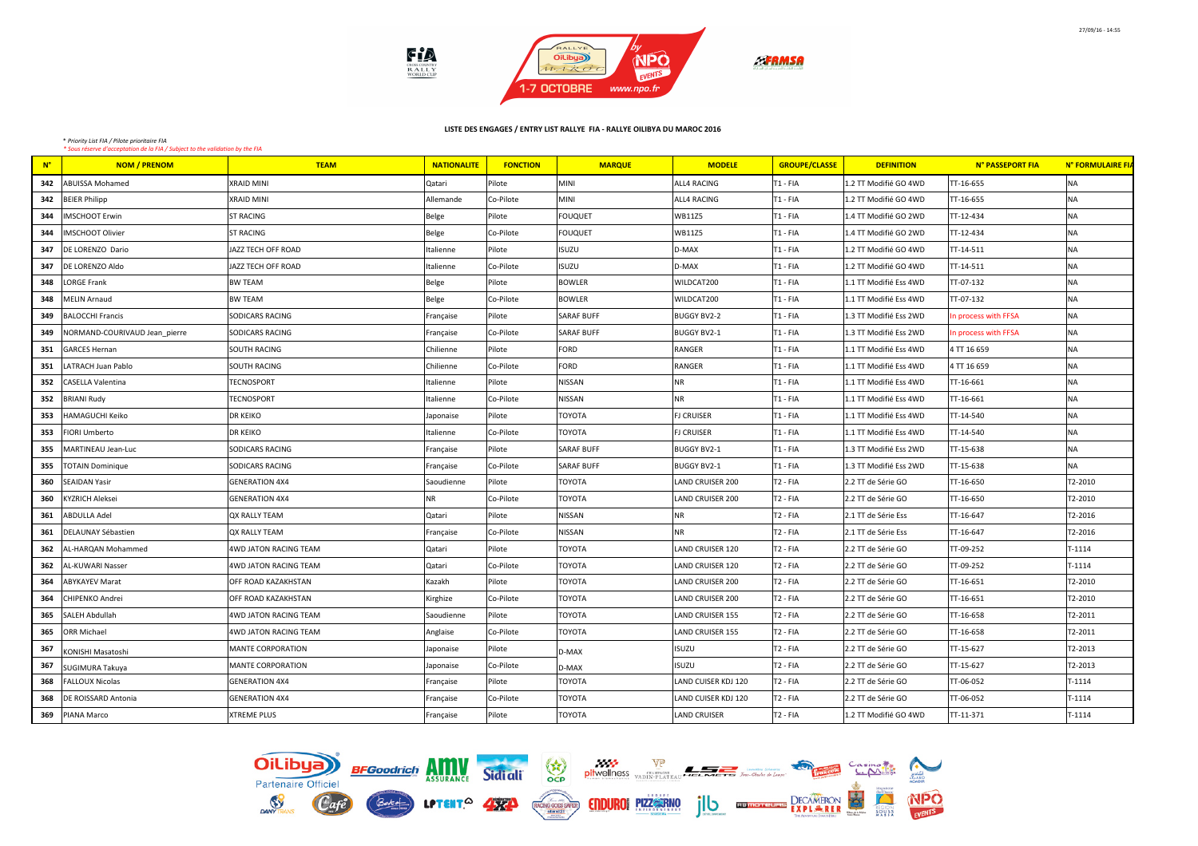

| $N^{\circ}$ | <b>NOM / PRENOM</b>           | <b>TEAM</b>                | <b>NATIONALITE</b> | <b>FONCTION</b> | <b>MARQUE</b>     | <b>MODELE</b>       | <b>GROUPE/CLASSE</b> | <b>DEFINITION</b>      | N° PASSEPORT FIA    | N° FORMULAIRE FIA |
|-------------|-------------------------------|----------------------------|--------------------|-----------------|-------------------|---------------------|----------------------|------------------------|---------------------|-------------------|
| 342         | <b>ABUISSA Mohamed</b>        | <b>XRAID MINI</b>          | l Qatari           | Pilote          | <b>MINI</b>       | ALL4 RACING         | T1 - FIA             | 1.2 TT Modifié GO 4WD  | TT-16-655           | <b>NA</b>         |
| 342         | <b>BEIER Philipp</b>          | <b>XRAID MINI</b>          | Allemande          | Co-Pilote       | <b>MINI</b>       | ALL4 RACING         | T1 - FIA             | 1.2 TT Modifié GO 4WD  | TT-16-655           | NA                |
| 344         | <b>IMSCHOOT Erwin</b>         | <b>ST RACING</b>           | Belge              | Pilote          | <b>FOUQUET</b>    | <b>WB11Z5</b>       | T1 - FIA             | 1.4 TT Modifié GO 2WD  | TT-12-434           | NA                |
| 344         | <b>MSCHOOT Olivier</b>        | <b>ST RACING</b>           | Belge              | Co-Pilote       | <b>FOUQUET</b>    | <b>WB11Z5</b>       | T1 - FIA             | 1.4 TT Modifié GO 2WD  | TT-12-434           | <b>NA</b>         |
| 347         | DE LORENZO Dario              | JAZZ TECH OFF ROAD         | Italienne          | Pilote          | <b>ISUZU</b>      | D-MAX               | T1 - FIA             | 1.2 TT Modifié GO 4WD  | TT-14-511           | <b>NA</b>         |
| 347         | DE LORENZO Aldo               | JAZZ TECH OFF ROAD         | Italienne          | Co-Pilote       | <b>ISUZU</b>      | D-MAX               | T1 - FIA             | 1.2 TT Modifié GO 4WD  | TT-14-511           | NA                |
| 348         | <b>LORGE Frank</b>            | <b>BW TEAM</b>             | Belge              | Pilote          | <b>BOWLER</b>     | WILDCAT200          | T <sub>1</sub> - FIA | 1.1 TT Modifié Ess 4WD | TT-07-132           | NA                |
| 348         | <b>MELIN Arnaud</b>           | <b>BW TEAM</b>             | Belge              | Co-Pilote       | <b>BOWLER</b>     | WILDCAT200          | T <sub>1</sub> - FIA | 1.1 TT Modifié Ess 4WD | TT-07-132           | NA                |
| 349         | <b>BALOCCHI Francis</b>       | <b>SODICARS RACING</b>     | Française          | Pilote          | <b>SARAF BUFF</b> | <b>BUGGY BV2-2</b>  | T1 - FIA             | 1.3 TT Modifié Ess 2WD | n process with FFSA | <b>NA</b>         |
| 349         | NORMAND-COURIVAUD Jean pierre | <b>SODICARS RACING</b>     | Française          | Co-Pilote       | <b>SARAF BUFF</b> | <b>BUGGY BV2-1</b>  | T <sub>1</sub> - FIA | 1.3 TT Modifié Ess 2WD | n process with FFSA | NA                |
| 351         | <b>GARCES Hernan</b>          | <b>SOUTH RACING</b>        | Chilienne          | Pilote          | <b>FORD</b>       | RANGER              | T1 - FIA             | 1.1 TT Modifié Ess 4WD | 4 TT 16 659         | NA                |
| 351         | LATRACH Juan Pablo            | <b>SOUTH RACING</b>        | Chilienne          | Co-Pilote       | FORD              | RANGER              | T1 - FIA             | 1.1 TT Modifié Ess 4WD | 4 TT 16 659         | NA                |
| 352         | <b>CASELLA Valentina</b>      | <b>TECNOSPORT</b>          | Italienne          | Pilote          | NISSAN            | NR                  | T <sub>1</sub> - FIA | 1.1 TT Modifié Ess 4WD | TT-16-661           | NA                |
| 352         | <b>BRIANI Rudy</b>            | <b>TECNOSPORT</b>          | Italienne          | Co-Pilote       | NISSAN            | <b>NR</b>           | T <sub>1</sub> - FIA | 1.1 TT Modifié Ess 4WD | TT-16-661           | NA                |
| 353         | HAMAGUCHI Keiko               | <b>DR KEIKO</b>            | Japonaise          | Pilote          | TOYOTA            | <b>FJ CRUISER</b>   | T <sub>1</sub> - FIA | 1.1 TT Modifié Ess 4WD | TT-14-540           | <b>NA</b>         |
| 353         | <b>FIORI Umberto</b>          | <b>DR KEIKO</b>            | Italienne          | Co-Pilote       | <b>TOYOTA</b>     | <b>FJ CRUISER</b>   | T <sub>1</sub> - FIA | 1.1 TT Modifié Ess 4WD | TT-14-540           | <b>NA</b>         |
| 355         | MARTINEAU Jean-Luc            | <b>SODICARS RACING</b>     | Française          | Pilote          | <b>SARAF BUFF</b> | <b>BUGGY BV2-1</b>  | T1 - FIA             | 1.3 TT Modifié Ess 2WD | TT-15-638           | NA                |
| 355         | <b>TOTAIN Dominique</b>       | <b>SODICARS RACING</b>     | Française          | Co-Pilote       | <b>SARAF BUFF</b> | <b>BUGGY BV2-1</b>  | T <sub>1</sub> - FIA | 1.3 TT Modifié Ess 2WD | TT-15-638           | NA                |
| 360         | <b>SEAIDAN Yasir</b>          | <b>GENERATION 4X4</b>      | Saoudienne         | Pilote          | TOYOTA            | LAND CRUISER 200    | T <sub>2</sub> - FIA | 2.2 TT de Série GO     | TT-16-650           | T2-2010           |
| 360         | <b>KYZRICH Aleksei</b>        | <b>GENERATION 4X4</b>      | <b>NR</b>          | Co-Pilote       | TOYOTA            | LAND CRUISER 200    | T <sub>2</sub> - FIA | 2.2 TT de Série GO     | TT-16-650           | T2-2010           |
| 361         | <b>ABDULLA Adel</b>           | OX RALLY TEAM              | Qatari             | Pilote          | <b>NISSAN</b>     | <b>NR</b>           | T <sub>2</sub> - FIA | 2.1 TT de Série Ess    | TT-16-647           | T2-2016           |
| 361         | DELAUNAY Sébastien            | <b>QX RALLY TEAM</b>       | Française          | Co-Pilote       | NISSAN            | <b>NR</b>           | T <sub>2</sub> - FIA | 2.1 TT de Série Ess    | TT-16-647           | T2-2016           |
| 362         | AL-HARQAN Mohammed            | 4WD JATON RACING TEAM      | Qatari             | Pilote          | TOYOTA            | LAND CRUISER 120    | T <sub>2</sub> - FIA | 2.2 TT de Série GO     | TT-09-252           | $T-1114$          |
| 362         | AL-KUWARI Nasser              | 4WD JATON RACING TEAM      | Qatari             | Co-Pilote       | TOYOTA            | LAND CRUISER 120    | T <sub>2</sub> - FIA | 2.2 TT de Série GO     | TT-09-252           | $T-1114$          |
| 364         | <b>ABYKAYEV Marat</b>         | OFF ROAD KAZAKHSTAN        | Kazakh             | Pilote          | TOYOTA            | LAND CRUISER 200    | T <sub>2</sub> - FIA | 2.2 TT de Série GO     | TT-16-651           | T2-2010           |
| 364         | CHIPENKO Andrei               | <b>OFF ROAD KAZAKHSTAN</b> | Kirghize           | Co-Pilote       | <b>TOYOTA</b>     | LAND CRUISER 200    | T <sub>2</sub> - FIA | 2.2 TT de Série GO     | TT-16-651           | T2-2010           |
| 365         | SALEH Abdullah                | 4WD JATON RACING TEAM      | Saoudienne         | Pilote          | TOYOTA            | LAND CRUISER 155    | T <sub>2</sub> - FIA | 2.2 TT de Série GO     | TT-16-658           | T2-2011           |
| 365         | <b>ORR Michael</b>            | 4WD JATON RACING TEAM      | Anglaise           | Co-Pilote       | TOYOTA            | LAND CRUISER 155    | T <sub>2</sub> - FIA | 2.2 TT de Série GO     | TT-16-658           | T2-2011           |
| 367         | KONISHI Masatoshi             | MANTE CORPORATION          | Japonaise          | Pilote          | D-MAX             | <b>ISUZU</b>        | T <sub>2</sub> - FIA | 2.2 TT de Série GO     | TT-15-627           | T2-2013           |
| 367         | SUGIMURA Takuya               | MANTE CORPORATION          | Japonaise          | Co-Pilote       | D-MAX             | <b>ISUZU</b>        | T <sub>2</sub> - FIA | 2.2 TT de Série GO     | TT-15-627           | T2-2013           |
| 368         | <b>FALLOUX Nicolas</b>        | <b>GENERATION 4X4</b>      | Française          | Pilote          | <b>TOYOTA</b>     | LAND CUISER KDJ 120 | T <sub>2</sub> - FIA | 2.2 TT de Série GO     | TT-06-052           | T-1114            |
| 368         | DE ROISSARD Antonia           | <b>GENERATION 4X4</b>      | Française          | Co-Pilote       | TOYOTA            | LAND CUISER KDJ 120 | T <sub>2</sub> - FIA | 2.2 TT de Série GO     | TT-06-052           | $T-1114$          |
| 369         | PIANA Marco                   | <b>XTREME PLUS</b>         | Française          | Pilote          | <b>TOYOTA</b>     | LAND CRUISER        | T <sub>2</sub> - FIA | 1.2 TT Modifié GO 4WD  | TT-11-371           | $T-1114$          |